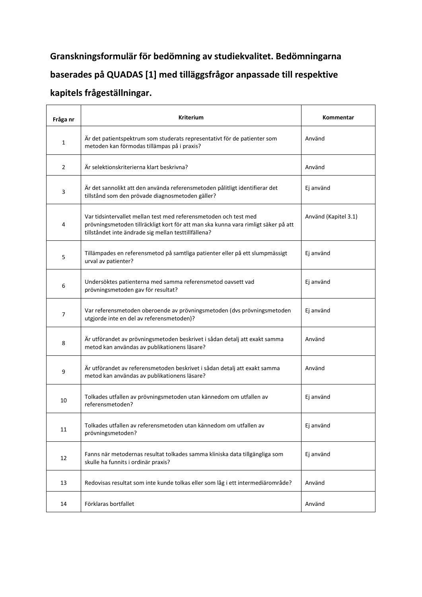## **Granskningsformulär för bedömning av studiekvalitet. Bedömningarna baserades på QUADAS [1] med tilläggsfrågor anpassade till respektive kapitels frågeställningar.**

| Fråga nr | <b>Kriterium</b>                                                                                                                                                                                               | Kommentar            |  |
|----------|----------------------------------------------------------------------------------------------------------------------------------------------------------------------------------------------------------------|----------------------|--|
| 1        | Är det patientspektrum som studerats representativt för de patienter som<br>metoden kan förmodas tillämpas på i praxis?                                                                                        | Använd               |  |
| 2        | Är selektionskriterierna klart beskrivna?                                                                                                                                                                      | Använd               |  |
| 3        | Är det sannolikt att den använda referensmetoden pålitligt identifierar det<br>tillstånd som den prövade diagnosmetoden gäller?                                                                                | Ej använd            |  |
| 4        | Var tidsintervallet mellan test med referensmetoden och test med<br>prövningsmetoden tillräckligt kort för att man ska kunna vara rimligt säker på att<br>tillståndet inte ändrade sig mellan testtillfällena? | Använd (Kapitel 3.1) |  |
| 5        | Tillämpades en referensmetod på samtliga patienter eller på ett slumpmässigt<br>urval av patienter?                                                                                                            | Ej använd            |  |
| 6        | Undersöktes patienterna med samma referensmetod oavsett vad<br>prövningsmetoden gav för resultat?                                                                                                              | Ej använd            |  |
| 7        | Var referensmetoden oberoende av prövningsmetoden (dvs prövningsmetoden<br>utgjorde inte en del av referensmetoden)?                                                                                           | Ej använd            |  |
| 8        | Är utförandet av prövningsmetoden beskrivet i sådan detalj att exakt samma<br>metod kan användas av publikationens läsare?                                                                                     | Använd               |  |
| 9        | Är utförandet av referensmetoden beskrivet i sådan detalj att exakt samma<br>metod kan användas av publikationens läsare?                                                                                      | Använd               |  |
| 10       | Tolkades utfallen av prövningsmetoden utan kännedom om utfallen av<br>referensmetoden?                                                                                                                         | Ej använd            |  |
| 11       | Tolkades utfallen av referensmetoden utan kännedom om utfallen av<br>prövningsmetoden?                                                                                                                         | Ej använd            |  |
| 12       | Fanns när metodernas resultat tolkades samma kliniska data tillgängliga som<br>skulle ha funnits i ordinär praxis?                                                                                             | Ej använd            |  |
| 13       | Redovisas resultat som inte kunde tolkas eller som låg i ett intermediärområde?                                                                                                                                | Använd               |  |
| 14       | Förklaras bortfallet                                                                                                                                                                                           | Använd               |  |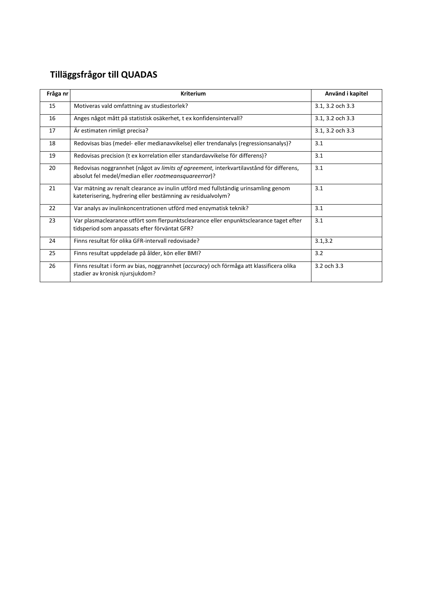## **Tilläggsfrågor till QUADAS**

| Fråga nr | <b>Kriterium</b>                                                                                                                                   | Använd i kapitel |  |
|----------|----------------------------------------------------------------------------------------------------------------------------------------------------|------------------|--|
| 15       | Motiveras vald omfattning av studiestorlek?                                                                                                        | 3.1, 3.2 och 3.3 |  |
| 16       | Anges något mått på statistisk osäkerhet, t ex konfidensintervall?                                                                                 | 3.1, 3.2 och 3.3 |  |
| 17       | Är estimaten rimligt precisa?                                                                                                                      | 3.1, 3.2 och 3.3 |  |
| 18       | Redovisas bias (medel- eller medianavvikelse) eller trendanalys (regressionsanalys)?                                                               | 3.1              |  |
| 19       | Redovisas precision (t ex korrelation eller standardavvikelse för differens)?                                                                      | 3.1              |  |
| 20       | Redovisas noggrannhet (något av limits of agreement, interkvartilavstånd för differens,<br>absolut fel medel/median eller rootmeansquareerror)?    | 3.1              |  |
| 21       | Var mätning av renalt clearance av inulin utförd med fullständig urinsamling genom<br>kateterisering, hydrering eller bestämning av residualvolym? | 3.1              |  |
| 22       | Var analys av inulinkoncentrationen utförd med enzymatisk teknik?                                                                                  | 3.1              |  |
| 23       | Var plasmaclearance utfört som flerpunktsclearance eller enpunktsclearance taget efter<br>tidsperiod som anpassats efter förväntat GFR?            | 3.1              |  |
| 24       | Finns resultat för olika GFR-intervall redovisade?                                                                                                 | 3.1, 3.2         |  |
| 25       | Finns resultat uppdelade på ålder, kön eller BMI?                                                                                                  | 3.2              |  |
| 26       | Finns resultat i form av bias, noggrannhet (accuracy) och förmåga att klassificera olika<br>stadier av kronisk njursjukdom?                        | 3.2 och 3.3      |  |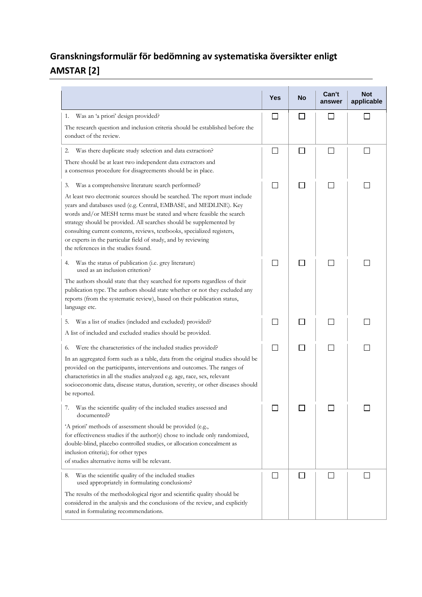## **Granskningsformulär för bedömning av systematiska översikter enligt AMSTAR [2]**

|                                                                                                                                                                                                                                                                                                                                                                                                                                                                                                                                               | Yes    | No             | Can't<br>answer | <b>Not</b><br>applicable |
|-----------------------------------------------------------------------------------------------------------------------------------------------------------------------------------------------------------------------------------------------------------------------------------------------------------------------------------------------------------------------------------------------------------------------------------------------------------------------------------------------------------------------------------------------|--------|----------------|-----------------|--------------------------|
| Was an 'a priori' design provided?<br>1.<br>The research question and inclusion criteria should be established before the<br>conduct of the review.                                                                                                                                                                                                                                                                                                                                                                                           |        | $\mathbf{I}$   | l 1             |                          |
| Was there duplicate study selection and data extraction?<br>2.<br>There should be at least two independent data extractors and<br>a consensus procedure for disagreements should be in place.                                                                                                                                                                                                                                                                                                                                                 |        | $\mathbf{I}$   | П               | $\mathsf{L}$             |
| Was a comprehensive literature search performed?<br>3.<br>At least two electronic sources should be searched. The report must include<br>years and databases used (e.g. Central, EMBASE, and MEDLINE). Key<br>words and/or MESH terms must be stated and where feasible the search<br>strategy should be provided. All searches should be supplemented by<br>consulting current contents, reviews, textbooks, specialized registers,<br>or experts in the particular field of study, and by reviewing<br>the references in the studies found. | L.     | ப              | $\Box$          | $\mathsf{L}$             |
| Was the status of publication (i.e. grey literature)<br>4.<br>used as an inclusion criterion?<br>The authors should state that they searched for reports regardless of their<br>publication type. The authors should state whether or not they excluded any<br>reports (from the systematic review), based on their publication status,<br>language etc.                                                                                                                                                                                      | $\sim$ | $\blacksquare$ |                 |                          |
| Was a list of studies (included and excluded) provided?<br>5.<br>A list of included and excluded studies should be provided.                                                                                                                                                                                                                                                                                                                                                                                                                  |        |                |                 |                          |
| Were the characteristics of the included studies provided?<br>6.<br>In an aggregated form such as a table, data from the original studies should be<br>provided on the participants, interventions and outcomes. The ranges of<br>characteristics in all the studies analyzed e.g. age, race, sex, relevant<br>socioeconomic data, disease status, duration, severity, or other diseases should<br>be reported.                                                                                                                               | $\sim$ | $\blacksquare$ |                 |                          |
| Was the scientific quality of the included studies assessed and<br>documented?<br>'A priori' methods of assessment should be provided (e.g.,<br>for effectiveness studies if the author(s) chose to include only randomized,<br>double-blind, placebo controlled studies, or allocation concealment as<br>inclusion criteria); for other types<br>of studies alternative items will be relevant.                                                                                                                                              |        |                |                 |                          |
| Was the scientific quality of the included studies<br>8.<br>used appropriately in formulating conclusions?<br>The results of the methodological rigor and scientific quality should be<br>considered in the analysis and the conclusions of the review, and explicitly<br>stated in formulating recommendations.                                                                                                                                                                                                                              |        | $\blacksquare$ | l 1             |                          |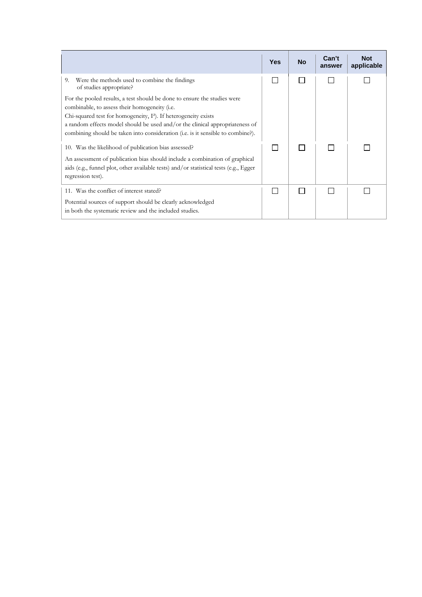|                                                                                                                                                                      | <b>Yes</b> | <b>No</b> | Can't<br>answer | <b>Not</b><br>applicable |
|----------------------------------------------------------------------------------------------------------------------------------------------------------------------|------------|-----------|-----------------|--------------------------|
| 9.<br>Were the methods used to combine the findings<br>of studies appropriate?                                                                                       |            |           |                 |                          |
| For the pooled results, a test should be done to ensure the studies were<br>combinable, to assess their homogeneity (i.e.                                            |            |           |                 |                          |
| Chi-squared test for homogeneity, $I^2$ ). If heterogeneity exists                                                                                                   |            |           |                 |                          |
| a random effects model should be used and/or the clinical appropriateness of<br>combining should be taken into consideration (i.e. is it sensible to combine?).      |            |           |                 |                          |
| 10. Was the likelihood of publication bias assessed?                                                                                                                 |            |           |                 |                          |
| An assessment of publication bias should include a combination of graphical<br>aids (e.g., funnel plot, other available tests) and/or statistical tests (e.g., Egger |            |           |                 |                          |
| regression test).                                                                                                                                                    |            |           |                 |                          |
| 11. Was the conflict of interest stated?                                                                                                                             |            |           |                 |                          |
| Potential sources of support should be clearly acknowledged                                                                                                          |            |           |                 |                          |
| in both the systematic review and the included studies.                                                                                                              |            |           |                 |                          |